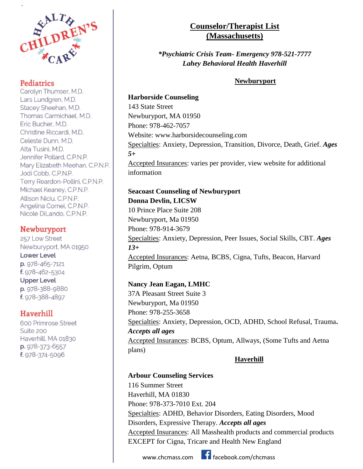

.

Carolyn Thumser, M.D. Lars Lundgren, M.D. Stacey Sheehan, M.D. Thomas Carmichael, M.D. Eric Bucher, M.D. Christine Riccardi, M.D. Celeste Dunn, M.D. Alta Tusini, M.D. Jennifer Pollard, C.P.N.P. Mary Elizabeth Meehan, C.P.N.P. Jodi Cobb, C.P.N.P. Terry Reardon-Pollini, C.P.N.P. Michael Keaney, C.P.N.P. Allison Niciu, C.P.N.P. Angelina Comei, C.P.N.P. Nicole DiLando, C.P.N.P.

### **Newburyport**

257 Low Street Newburyport, MA 01950 **Lower Level** p. 978-465-7121 f. 978-462-5304 **Upper Level** p. 978-388-9880 f. 978-388-4897

### Haverhill

600 Primrose Street Suite 200 Haverhill, MA 01830 p. 978-373-6557 f. 978-374-5096

## **Counselor/Therapist List (Massachusetts)**

*\*Psychiatric Crisis Team- Emergency 978-521-7777 Lahey Behavioral Health Haverhill*

### **Newburyport**

# **Harborside Counseling**

143 State Street Newburyport, MA 01950 Phone: 978-462-7057 Website: www.harborsidecounseling.com Specialties: Anxiety, Depression, Transition, Divorce, Death, Grief. *Ages 5+* Accepted Insurances: varies per provider, view website for additional information

### **Seacoast Counseling of Newburyport Donna Devlin, LICSW**

10 Prince Place Suite 208 Newburyport, Ma 01950 Phone: 978-914-3679 Specialties: Anxiety, Depression, Peer Issues, Social Skills, CBT. *Ages 13+* Accepted Insurances: Aetna, BCBS, Cigna, Tufts, Beacon, Harvard Pilgrim, Optum

### **Nancy Jean Eagan, LMHC**

37A Pleasant Street Suite 3 Newburyport, Ma 01950 Phone: 978-255-3658 Specialties: Anxiety, Depression, OCD, ADHD, School Refusal, Trauma**.** *Accepts all ages* Accepted Insurances: BCBS, Optum, Allways, (Some Tufts and Aetna plans)

### **Haverhill**

### **Arbour Counseling Services**

116 Summer Street Haverhill, MA 01830 Phone: 978-373-7010 Ext. 204 Specialties: ADHD, Behavior Disorders, Eating Disorders, Mood Disorders, Expressive Therapy. *Accepts all ages* Accepted Insurances: All Masshealth products and commercial products EXCEPT for Cigna, Tricare and Health New England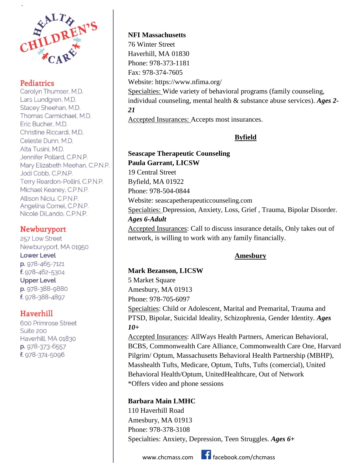

.

Carolyn Thumser, M.D. Lars Lundgren, M.D. Stacey Sheehan, M.D. Thomas Carmichael, M.D. Eric Bucher, M.D. Christine Riccardi, M.D. Celeste Dunn, M.D. Alta Tusini, M.D. Jennifer Pollard, C.P.N.P. Mary Elizabeth Meehan, C.P.N.P. Jodi Cobb, C.P.N.P. Terry Reardon-Pollini, C.P.N.P. Michael Keaney, C.P.N.P. Allison Niciu, C.P.N.P. Angelina Comei, C.P.N.P. Nicole DiLando, C.P.N.P.

### **Newburyport**

257 Low Street Newburyport, MA 01950 **Lower Level** p. 978-465-7121 f. 978-462-5304 **Upper Level** p. 978-388-9880 f. 978-388-4897

### Haverhill

600 Primrose Street Suite 200 Haverhill, MA 01830 p. 978-373-6557 f. 978-374-5096

**NFI Massachusetts**  76 Winter Street Haverhill, MA 01830 Phone: 978-373-1181 Fax: 978-374-7605 Website: https://www.nfima.org/ Specialties: Wide variety of behavioral programs (family counseling, individual counseling, mental health & substance abuse services). *Ages 2- 21*  Accepted Insurances: Accepts most insurances.

### **Byfield**

**Seascape Therapeutic Counseling Paula Garrant, LICSW** 19 Central Street Byfield, MA 01922 Phone: 978-504-0844 Website: [seascapetherapeuticcounseling.com](https://www.seascapetherapeuticcounseling.com/contact) Specialties: Depression, Anxiety, Loss, Grief , Trauma, Bipolar Disorder. *Ages 6-Adult*  Accepted Insurances: Call to discuss insurance details, Only takes out of network, is willing to work with any family financially.

### **Amesbury**

**Mark Bezanson, LICSW** 5 Market Square Amesbury, MA 01913 Phone: 978-705-6097 Specialties: Child or Adolescent, Marital and Premarital, Trauma and PTSD, Bipolar, Suicidal Ideality, Schizophrenia, Gender Identity. *Ages 10+* Accepted Insurances: AllWays Health Partners, American Behavioral, BCBS, Commonwealth Care Alliance, Commonwealth Care One, Harvard Pilgrim/ Optum, Massachusetts Behavioral Health Partnership (MBHP), Masshealth Tufts, Medicare, Optum, Tufts, Tufts (comercial), United Behavioral Health/Optum, UnitedHealthcare, Out of Network

\*Offers video and phone sessions

### **Barbara Main LMHC**

110 Haverhill Road Amesbury, MA 01913 Phone: 978-378-3108 Specialties: Anxiety, Depression, Teen Struggles. *Ages 6+*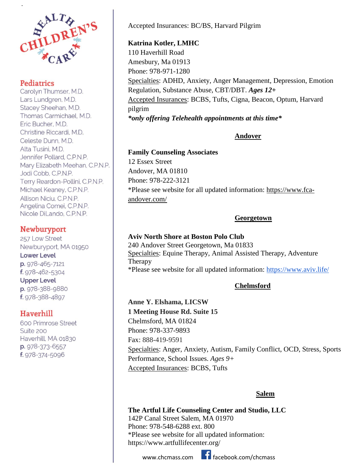

.

Carolyn Thumser, M.D. Lars Lundgren, M.D. Stacey Sheehan, M.D. Thomas Carmichael, M.D. Eric Bucher, M.D. Christine Riccardi, M.D. Celeste Dunn, M.D. Alta Tusini, M.D. Jennifer Pollard, C.P.N.P. Mary Elizabeth Meehan, C.P.N.P. Jodi Cobb, C.P.N.P. Terry Reardon-Pollini, C.P.N.P. Michael Keaney, C.P.N.P. Allison Niciu, C.P.N.P. Angelina Comei, C.P.N.P. Nicole DiLando, C.P.N.P.

### **Newburyport**

257 Low Street Newburyport, MA 01950 **Lower Level** p. 978-465-7121 f. 978-462-5304 **Upper Level** p. 978-388-9880 f. 978-388-4897

### Haverhill

600 Primrose Street Suite 200 Haverhill, MA 01830 p. 978-373-6557 f. 978-374-5096

Accepted Insurances: BC/BS, Harvard Pilgrim

### **Katrina Kotler, LMHC**

110 Haverhill Road Amesbury, Ma 01913 Phone: 978-971-1280 Specialties: ADHD, Anxiety, Anger Management, Depression, Emotion Regulation, Substance Abuse, CBT/DBT. *Ages 12+* Accepted Insurances: BCBS, Tufts, Cigna, Beacon, Optum, Harvard pilgrim *\*only offering Telehealth appointments at this time\**

### **Andover**

**Family Counseling Associates** 12 Essex Street Andover, MA 01810 Phone: 978-222-3121 \*Please see website for all updated information: [https://www.fca](https://www.fca-andover.com/)[andover.com/](https://www.fca-andover.com/)

### **Georgetown**

**Aviv North Shore at Boston Polo Club** 240 Andover Street Georgetown, Ma 01833 Specialties: Equine Therapy, Animal Assisted Therapy, Adventure Therapy \*Please see website for all updated information:<https://www.aviv.life/>

### **Chelmsford**

**Anne Y. Elshama, LICSW 1 Meeting House Rd. Suite 15** Chelmsford, MA 01824 Phone: 978-337-9893 Fax: 888-419-9591 Specialties: Anger, Anxiety, Autism, Family Conflict, OCD, Stress, Sports Performance, School Issues. *Ages 9+* Accepted Insurances: BCBS, Tufts

#### **Salem**

**The Artful Life Counseling Center and Studio, LLC** 142P Canal Street Salem, MA 01970 Phone: 978-548-6288 ext. 800 \*Please see website for all updated information: https://www.artfullifecenter.org/

www.chcmass.com **facebook.com/chcmass**